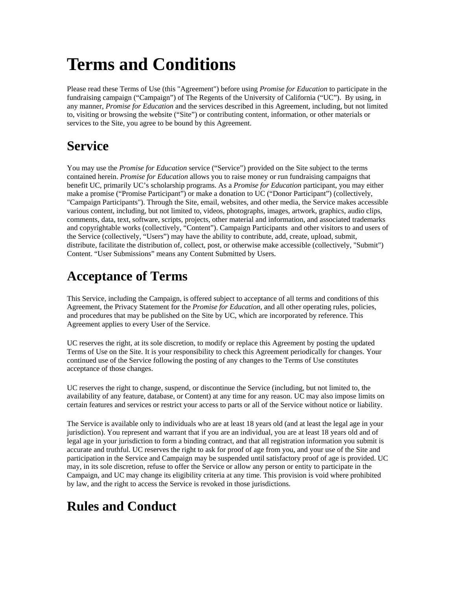# **Terms and Conditions**

Please read these Terms of Use (this "Agreement") before using *Promise for Education* to participate in the fundraising campaign ("Campaign") of The Regents of the University of California ("UC"). By using, in any manner, *Promise for Education* and the services described in this Agreement, including, but not limited to, visiting or browsing the website ("Site") or contributing content, information, or other materials or services to the Site, you agree to be bound by this Agreement.

## **Service**

You may use the *Promise for Education* service ("Service") provided on the Site subject to the terms contained herein. *Promise for Education* allows you to raise money or run fundraising campaigns that benefit UC, primarily UC's scholarship programs. As a *Promise for Education* participant, you may either make a promise ("Promise Participant") or make a donation to UC ("Donor Participant") (collectively, "Campaign Participants"). Through the Site, email, websites, and other media, the Service makes accessible various content, including, but not limited to, videos, photographs, images, artwork, graphics, audio clips, comments, data, text, software, scripts, projects, other material and information, and associated trademarks and copyrightable works (collectively, "Content"). Campaign Participants and other visitors to and users of the Service (collectively, "Users") may have the ability to contribute, add, create, upload, submit, distribute, facilitate the distribution of, collect, post, or otherwise make accessible (collectively, "Submit") Content. "User Submissions" means any Content Submitted by Users.

#### **Acceptance of Terms**

This Service, including the Campaign, is offered subject to acceptance of all terms and conditions of this Agreement, the Privacy Statement for the *Promise for Education*, and all other operating rules, policies, and procedures that may be published on the Site by UC, which are incorporated by reference. This Agreement applies to every User of the Service.

UC reserves the right, at its sole discretion, to modify or replace this Agreement by posting the updated Terms of Use on the Site. It is your responsibility to check this Agreement periodically for changes. Your continued use of the Service following the posting of any changes to the Terms of Use constitutes acceptance of those changes.

UC reserves the right to change, suspend, or discontinue the Service (including, but not limited to, the availability of any feature, database, or Content) at any time for any reason. UC may also impose limits on certain features and services or restrict your access to parts or all of the Service without notice or liability.

The Service is available only to individuals who are at least 18 years old (and at least the legal age in your jurisdiction). You represent and warrant that if you are an individual, you are at least 18 years old and of legal age in your jurisdiction to form a binding contract, and that all registration information you submit is accurate and truthful. UC reserves the right to ask for proof of age from you, and your use of the Site and participation in the Service and Campaign may be suspended until satisfactory proof of age is provided. UC may, in its sole discretion, refuse to offer the Service or allow any person or entity to participate in the Campaign, and UC may change its eligibility criteria at any time. This provision is void where prohibited by law, and the right to access the Service is revoked in those jurisdictions.

# **Rules and Conduct**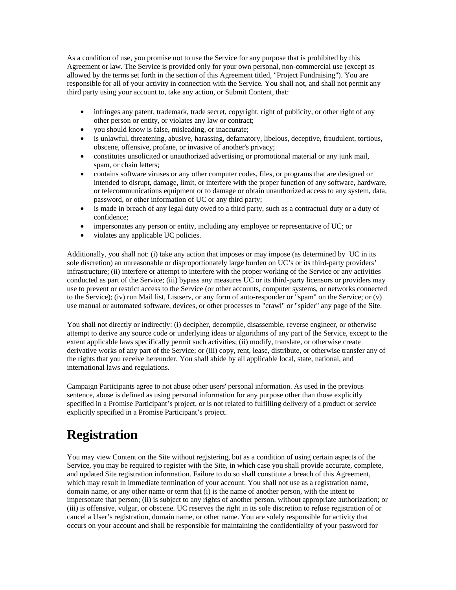As a condition of use, you promise not to use the Service for any purpose that is prohibited by this Agreement or law. The Service is provided only for your own personal, non-commercial use (except as allowed by the terms set forth in the section of this Agreement titled, "Project Fundraising"). You are responsible for all of your activity in connection with the Service. You shall not, and shall not permit any third party using your account to, take any action, or Submit Content, that:

- infringes any patent, trademark, trade secret, copyright, right of publicity, or other right of any other person or entity, or violates any law or contract;
- you should know is false, misleading, or inaccurate;
- is unlawful, threatening, abusive, harassing, defamatory, libelous, deceptive, fraudulent, tortious, obscene, offensive, profane, or invasive of another's privacy;
- constitutes unsolicited or unauthorized advertising or promotional material or any junk mail, spam, or chain letters;
- contains software viruses or any other computer codes, files, or programs that are designed or intended to disrupt, damage, limit, or interfere with the proper function of any software, hardware, or telecommunications equipment or to damage or obtain unauthorized access to any system, data, password, or other information of UC or any third party;
- is made in breach of any legal duty owed to a third party, such as a contractual duty or a duty of confidence;
- impersonates any person or entity, including any employee or representative of UC; or
- violates any applicable UC policies.

Additionally, you shall not: (i) take any action that imposes or may impose (as determined by UC in its sole discretion) an unreasonable or disproportionately large burden on UC's or its third-party providers' infrastructure; (ii) interfere or attempt to interfere with the proper working of the Service or any activities conducted as part of the Service; (iii) bypass any measures UC or its third-party licensors or providers may use to prevent or restrict access to the Service (or other accounts, computer systems, or networks connected to the Service); (iv) run Mail list, Listserv, or any form of auto-responder or "spam" on the Service; or (v) use manual or automated software, devices, or other processes to "crawl" or "spider" any page of the Site.

You shall not directly or indirectly: (i) decipher, decompile, disassemble, reverse engineer, or otherwise attempt to derive any source code or underlying ideas or algorithms of any part of the Service, except to the extent applicable laws specifically permit such activities; (ii) modify, translate, or otherwise create derivative works of any part of the Service; or (iii) copy, rent, lease, distribute, or otherwise transfer any of the rights that you receive hereunder. You shall abide by all applicable local, state, national, and international laws and regulations.

Campaign Participants agree to not abuse other users' personal information. As used in the previous sentence, abuse is defined as using personal information for any purpose other than those explicitly specified in a Promise Participant's project, or is not related to fulfilling delivery of a product or service explicitly specified in a Promise Participant's project.

#### **Registration**

You may view Content on the Site without registering, but as a condition of using certain aspects of the Service, you may be required to register with the Site, in which case you shall provide accurate, complete, and updated Site registration information. Failure to do so shall constitute a breach of this Agreement, which may result in immediate termination of your account. You shall not use as a registration name, domain name, or any other name or term that (i) is the name of another person, with the intent to impersonate that person; (ii) is subject to any rights of another person, without appropriate authorization; or (iii) is offensive, vulgar, or obscene. UC reserves the right in its sole discretion to refuse registration of or cancel a User's registration, domain name, or other name. You are solely responsible for activity that occurs on your account and shall be responsible for maintaining the confidentiality of your password for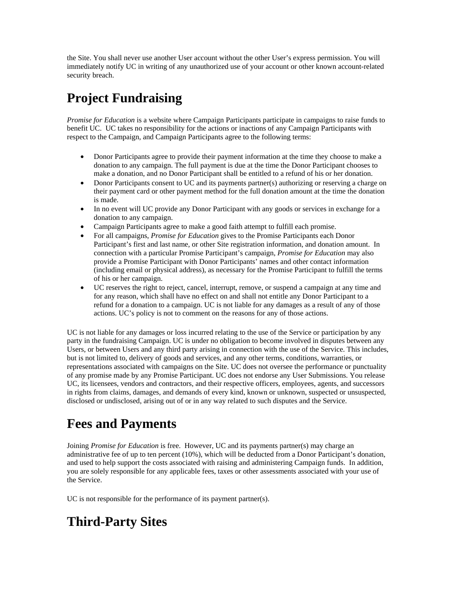the Site. You shall never use another User account without the other User's express permission. You will immediately notify UC in writing of any unauthorized use of your account or other known account-related security breach.

# **Project Fundraising**

*Promise for Education* is a website where Campaign Participants participate in campaigns to raise funds to benefit UC. UC takes no responsibility for the actions or inactions of any Campaign Participants with respect to the Campaign, and Campaign Participants agree to the following terms:

- Donor Participants agree to provide their payment information at the time they choose to make a donation to any campaign. The full payment is due at the time the Donor Participant chooses to make a donation, and no Donor Participant shall be entitled to a refund of his or her donation.
- Donor Participants consent to UC and its payments partner(s) authorizing or reserving a charge on their payment card or other payment method for the full donation amount at the time the donation is made.
- In no event will UC provide any Donor Participant with any goods or services in exchange for a donation to any campaign.
- Campaign Participants agree to make a good faith attempt to fulfill each promise.
- For all campaigns, *Promise for Education* gives to the Promise Participants each Donor Participant's first and last name, or other Site registration information, and donation amount. In connection with a particular Promise Participant's campaign, *Promise for Education* may also provide a Promise Participant with Donor Participants' names and other contact information (including email or physical address), as necessary for the Promise Participant to fulfill the terms of his or her campaign.
- UC reserves the right to reject, cancel, interrupt, remove, or suspend a campaign at any time and for any reason, which shall have no effect on and shall not entitle any Donor Participant to a refund for a donation to a campaign. UC is not liable for any damages as a result of any of those actions. UC's policy is not to comment on the reasons for any of those actions.

UC is not liable for any damages or loss incurred relating to the use of the Service or participation by any party in the fundraising Campaign. UC is under no obligation to become involved in disputes between any Users, or between Users and any third party arising in connection with the use of the Service. This includes, but is not limited to, delivery of goods and services, and any other terms, conditions, warranties, or representations associated with campaigns on the Site. UC does not oversee the performance or punctuality of any promise made by any Promise Participant. UC does not endorse any User Submissions. You release UC, its licensees, vendors and contractors, and their respective officers, employees, agents, and successors in rights from claims, damages, and demands of every kind, known or unknown, suspected or unsuspected, disclosed or undisclosed, arising out of or in any way related to such disputes and the Service.

#### **Fees and Payments**

Joining *Promise for Education* is free. However, UC and its payments partner(s) may charge an administrative fee of up to ten percent (10%), which will be deducted from a Donor Participant's donation, and used to help support the costs associated with raising and administering Campaign funds. In addition, you are solely responsible for any applicable fees, taxes or other assessments associated with your use of the Service.

UC is not responsible for the performance of its payment partner(s).

## **Third-Party Sites**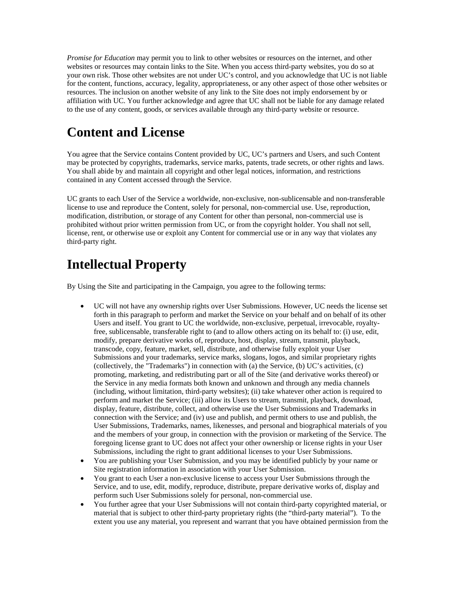*Promise for Education* may permit you to link to other websites or resources on the internet, and other websites or resources may contain links to the Site. When you access third-party websites, you do so at your own risk. Those other websites are not under UC's control, and you acknowledge that UC is not liable for the content, functions, accuracy, legality, appropriateness, or any other aspect of those other websites or resources. The inclusion on another website of any link to the Site does not imply endorsement by or affiliation with UC. You further acknowledge and agree that UC shall not be liable for any damage related to the use of any content, goods, or services available through any third-party website or resource.

#### **Content and License**

You agree that the Service contains Content provided by UC, UC's partners and Users, and such Content may be protected by copyrights, trademarks, service marks, patents, trade secrets, or other rights and laws. You shall abide by and maintain all copyright and other legal notices, information, and restrictions contained in any Content accessed through the Service.

UC grants to each User of the Service a worldwide, non-exclusive, non-sublicensable and non-transferable license to use and reproduce the Content, solely for personal, non-commercial use. Use, reproduction, modification, distribution, or storage of any Content for other than personal, non-commercial use is prohibited without prior written permission from UC, or from the copyright holder. You shall not sell, license, rent, or otherwise use or exploit any Content for commercial use or in any way that violates any third-party right.

#### **Intellectual Property**

By Using the Site and participating in the Campaign, you agree to the following terms:

- UC will not have any ownership rights over User Submissions. However, UC needs the license set forth in this paragraph to perform and market the Service on your behalf and on behalf of its other Users and itself. You grant to UC the worldwide, non-exclusive, perpetual, irrevocable, royaltyfree, sublicensable, transferable right to (and to allow others acting on its behalf to: (i) use, edit, modify, prepare derivative works of, reproduce, host, display, stream, transmit, playback, transcode, copy, feature, market, sell, distribute, and otherwise fully exploit your User Submissions and your trademarks, service marks, slogans, logos, and similar proprietary rights (collectively, the "Trademarks") in connection with (a) the Service, (b) UC's activities, (c) promoting, marketing, and redistributing part or all of the Site (and derivative works thereof) or the Service in any media formats both known and unknown and through any media channels (including, without limitation, third-party websites); (ii) take whatever other action is required to perform and market the Service; (iii) allow its Users to stream, transmit, playback, download, display, feature, distribute, collect, and otherwise use the User Submissions and Trademarks in connection with the Service; and (iv) use and publish, and permit others to use and publish, the User Submissions, Trademarks, names, likenesses, and personal and biographical materials of you and the members of your group, in connection with the provision or marketing of the Service. The foregoing license grant to UC does not affect your other ownership or license rights in your User Submissions, including the right to grant additional licenses to your User Submissions.
- You are publishing your User Submission, and you may be identified publicly by your name or Site registration information in association with your User Submission.
- You grant to each User a non-exclusive license to access your User Submissions through the Service, and to use, edit, modify, reproduce, distribute, prepare derivative works of, display and perform such User Submissions solely for personal, non-commercial use.
- You further agree that your User Submissions will not contain third-party copyrighted material, or material that is subject to other third-party proprietary rights (the "third-party material"). To the extent you use any material, you represent and warrant that you have obtained permission from the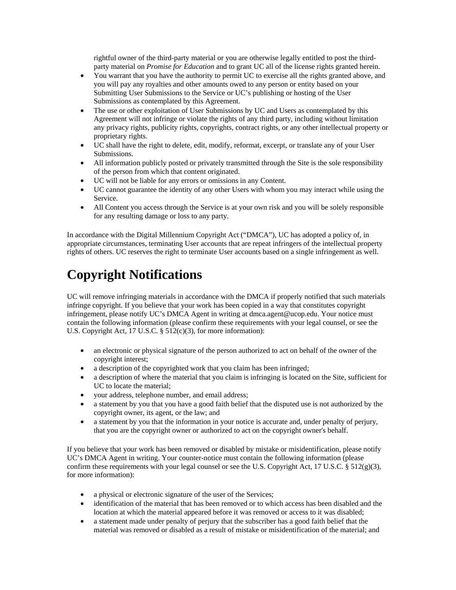rightful owner of the third-party material or you are otherwise legally entitled to post the thirdparty material on *Promise for Education* and to grant UC all of the license rights granted herein.

- You warrant that you have the authority to permit UC to exercise all the rights granted above, and you will pay any royalties and other amounts owed to any person or entity based on your Submitting User Submissions to the Service or UC's publishing or hosting of the User Submissions as contemplated by this Agreement.
- The use or other exploitation of User Submissions by UC and Users as contemplated by this Agreement will not infringe or violate the rights of any third party, including without limitation any privacy rights, publicity rights, copyrights, contract rights, or any other intellectual property or proprietary rights.
- UC shall have the right to delete, edit, modify, reformat, excerpt, or translate any of your User Submissions.
- All information publicly posted or privately transmitted through the Site is the sole responsibility of the person from which that content originated.
- UC will not be liable for any errors or omissions in any Content.
- UC cannot guarantee the identity of any other Users with whom you may interact while using the Service.
- All Content you access through the Service is at your own risk and you will be solely responsible for any resulting damage or loss to any party.

In accordance with the Digital Millennium Copyright Act ("DMCA"), UC has adopted a policy of, in appropriate circumstances, terminating User accounts that are repeat infringers of the intellectual property rights of others. UC reserves the right to terminate User accounts based on a single infringement as well.

### **Copyright Notifications**

UC will remove infringing materials in accordance with the DMCA if properly notified that such materials infringe copyright. If you believe that your work has been copied in a way that constitutes copyright infringement, please notify UC's DMCA Agent in writing at dmca.agent@ucop.edu. Your notice must contain the following information (please confirm these requirements with your legal counsel, or see the U.S. Copyright Act, 17 U.S.C. § 512(c)(3), for more information):

- an electronic or physical signature of the person authorized to act on behalf of the owner of the copyright interest;
- a description of the copyrighted work that you claim has been infringed;
- a description of where the material that you claim is infringing is located on the Site, sufficient for UC to locate the material;
- your address, telephone number, and email address;
- a statement by you that you have a good faith belief that the disputed use is not authorized by the copyright owner, its agent, or the law; and
- a statement by you that the information in your notice is accurate and, under penalty of perjury, that you are the copyright owner or authorized to act on the copyright owner's behalf.

If you believe that your work has been removed or disabled by mistake or misidentification, please notify UC's DMCA Agent in writing. Your counter-notice must contain the following information (please confirm these requirements with your legal counsel or see the U.S. Copyright Act, 17 U.S.C.  $\S$  512(g)(3), for more information):

- a physical or electronic signature of the user of the Services;
- identification of the material that has been removed or to which access has been disabled and the location at which the material appeared before it was removed or access to it was disabled;
- a statement made under penalty of perjury that the subscriber has a good faith belief that the material was removed or disabled as a result of mistake or misidentification of the material; and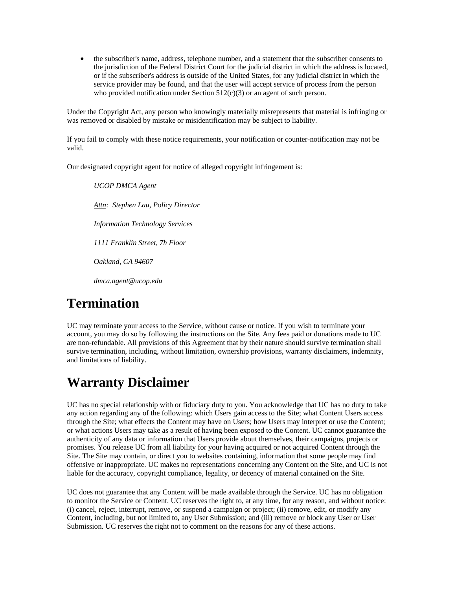• the subscriber's name, address, telephone number, and a statement that the subscriber consents to the jurisdiction of the Federal District Court for the judicial district in which the address is located, or if the subscriber's address is outside of the United States, for any judicial district in which the service provider may be found, and that the user will accept service of process from the person who provided notification under Section 512(c)(3) or an agent of such person.

Under the Copyright Act, any person who knowingly materially misrepresents that material is infringing or was removed or disabled by mistake or misidentification may be subject to liability.

If you fail to comply with these notice requirements, your notification or counter-notification may not be valid.

Our designated copyright agent for notice of alleged copyright infringement is:

*UCOP DMCA Agent Attn: Stephen Lau, Policy Director Information Technology Services 1111 Franklin Street, 7h Floor Oakland, CA 94607 dmca.agent@ucop.edu*

#### **Termination**

UC may terminate your access to the Service, without cause or notice. If you wish to terminate your account, you may do so by following the instructions on the Site. Any fees paid or donations made to UC are non-refundable. All provisions of this Agreement that by their nature should survive termination shall survive termination, including, without limitation, ownership provisions, warranty disclaimers, indemnity, and limitations of liability.

#### **Warranty Disclaimer**

UC has no special relationship with or fiduciary duty to you. You acknowledge that UC has no duty to take any action regarding any of the following: which Users gain access to the Site; what Content Users access through the Site; what effects the Content may have on Users; how Users may interpret or use the Content; or what actions Users may take as a result of having been exposed to the Content. UC cannot guarantee the authenticity of any data or information that Users provide about themselves, their campaigns, projects or promises. You release UC from all liability for your having acquired or not acquired Content through the Site. The Site may contain, or direct you to websites containing, information that some people may find offensive or inappropriate. UC makes no representations concerning any Content on the Site, and UC is not liable for the accuracy, copyright compliance, legality, or decency of material contained on the Site.

UC does not guarantee that any Content will be made available through the Service. UC has no obligation to monitor the Service or Content. UC reserves the right to, at any time, for any reason, and without notice: (i) cancel, reject, interrupt, remove, or suspend a campaign or project; (ii) remove, edit, or modify any Content, including, but not limited to, any User Submission; and (iii) remove or block any User or User Submission. UC reserves the right not to comment on the reasons for any of these actions.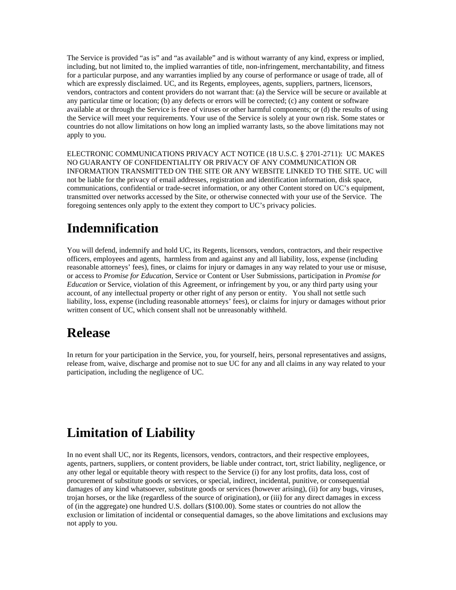The Service is provided "as is" and "as available" and is without warranty of any kind, express or implied, including, but not limited to, the implied warranties of title, non-infringement, merchantability, and fitness for a particular purpose, and any warranties implied by any course of performance or usage of trade, all of which are expressly disclaimed. UC, and its Regents, employees, agents, suppliers, partners, licensors, vendors, contractors and content providers do not warrant that: (a) the Service will be secure or available at any particular time or location; (b) any defects or errors will be corrected; (c) any content or software available at or through the Service is free of viruses or other harmful components; or (d) the results of using the Service will meet your requirements. Your use of the Service is solely at your own risk. Some states or countries do not allow limitations on how long an implied warranty lasts, so the above limitations may not apply to you.

ELECTRONIC COMMUNICATIONS PRIVACY ACT NOTICE (18 U.S.C. § 2701-2711): UC MAKES NO GUARANTY OF CONFIDENTIALITY OR PRIVACY OF ANY COMMUNICATION OR INFORMATION TRANSMITTED ON THE SITE OR ANY WEBSITE LINKED TO THE SITE. UC will not be liable for the privacy of email addresses, registration and identification information, disk space, communications, confidential or trade-secret information, or any other Content stored on UC's equipment, transmitted over networks accessed by the Site, or otherwise connected with your use of the Service. The foregoing sentences only apply to the extent they comport to UC's privacy policies.

#### **Indemnification**

You will defend, indemnify and hold UC, its Regents, licensors, vendors, contractors, and their respective officers, employees and agents, harmless from and against any and all liability, loss, expense (including reasonable attorneys' fees), fines, or claims for injury or damages in any way related to your use or misuse, or access to *Promise for Education*, Service or Content or User Submissions, participation in *Promise for Education* or Service, violation of this Agreement, or infringement by you, or any third party using your account, of any intellectual property or other right of any person or entity. You shall not settle such liability, loss, expense (including reasonable attorneys' fees), or claims for injury or damages without prior written consent of UC, which consent shall not be unreasonably withheld.

#### **Release**

In return for your participation in the Service, you, for yourself, heirs, personal representatives and assigns, release from, waive, discharge and promise not to sue UC for any and all claims in any way related to your participation, including the negligence of UC.

#### **Limitation of Liability**

In no event shall UC, nor its Regents, licensors, vendors, contractors, and their respective employees, agents, partners, suppliers, or content providers, be liable under contract, tort, strict liability, negligence, or any other legal or equitable theory with respect to the Service (i) for any lost profits, data loss, cost of procurement of substitute goods or services, or special, indirect, incidental, punitive, or consequential damages of any kind whatsoever, substitute goods or services (however arising), (ii) for any bugs, viruses, trojan horses, or the like (regardless of the source of origination), or (iii) for any direct damages in excess of (in the aggregate) one hundred U.S. dollars (\$100.00). Some states or countries do not allow the exclusion or limitation of incidental or consequential damages, so the above limitations and exclusions may not apply to you.